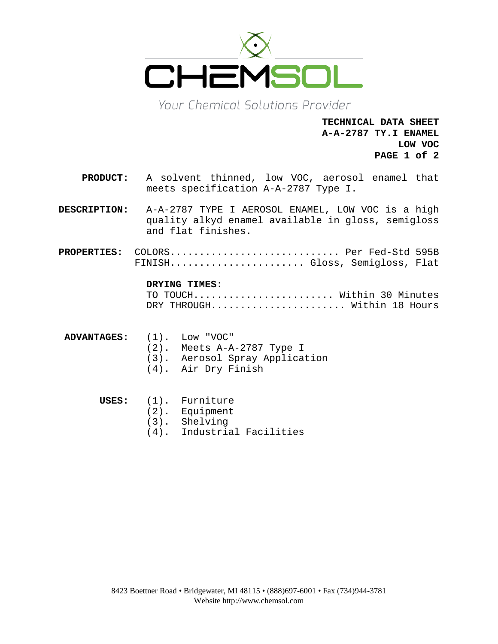

Your Chemical Solutions Provider

**TECHNICAL DATA SHEET A-A-2787 TY.I ENAMEL LOW VOC PAGE 1 of 2**

- **PRODUCT:** A solvent thinned, low VOC, aerosol enamel that meets specification A-A-2787 Type I.
- **DESCRIPTION:** A-A-2787 TYPE I AEROSOL ENAMEL, LOW VOC is a high quality alkyd enamel available in gloss, semigloss and flat finishes.
- **PROPERTIES:** COLORS............................. Per Fed-Std 595B FINISH....................... Gloss, Semigloss, Flat

#### **DRYING TIMES:**

TO TOUCH.......................... Within 30 Minutes DRY THROUGH...................... Within 18 Hours

**ADVANTAGES:** (1). Low "VOC" (2). Meets A-A-2787 Type I (3). Aerosol Spray Application

(4). Air Dry Finish

# **USES:** (1). Furniture

- (2). Equipment
- (3). Shelving
- (4). Industrial Facilities